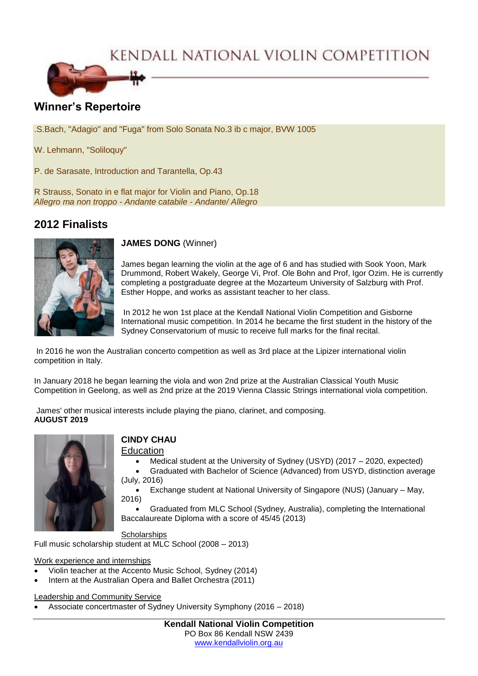KENDALL NATIONAL VIOLIN COMPETITION



# **Winner's Repertoire**

.S.Bach, "Adagio" and "Fuga" from Solo Sonata No.3 ib c major, BVW 1005

W. Lehmann, "Soliloquy"

P. de Sarasate, Introduction and Tarantella, Op.43

R Strauss, Sonato in e flat major for Violin and Piano, Op.18 *Allegro ma non troppo - Andante catabile - Andante/ Allegro*

## **2012 Finalists**



**JAMES DONG** (Winner)

James began learning the violin at the age of 6 and has studied with Sook Yoon, Mark Drummond, Robert Wakely, George Vi, Prof. Ole Bohn and Prof, Igor Ozim. He is currently completing a postgraduate degree at the Mozarteum University of Salzburg with Prof. Esther Hoppe, and works as assistant teacher to her class.

In 2012 he won 1st place at the Kendall National Violin Competition and Gisborne International music competition. In 2014 he became the first student in the history of the Sydney Conservatorium of music to receive full marks for the final recital.

In 2016 he won the Australian concerto competition as well as 3rd place at the Lipizer international violin competition in Italy.

In January 2018 he began learning the viola and won 2nd prize at the Australian Classical Youth Music Competition in Geelong, as well as 2nd prize at the 2019 Vienna Classic Strings international viola competition.

James' other musical interests include playing the piano, clarinet, and composing. **AUGUST 2019**



## **CINDY CHAU**

## Education

- Medical student at the University of Sydney (USYD) (2017 2020, expected)
- Graduated with Bachelor of Science (Advanced) from USYD, distinction average (July, 2016)

 Exchange student at National University of Singapore (NUS) (January – May, 2016)

 Graduated from MLC School (Sydney, Australia), completing the International Baccalaureate Diploma with a score of 45/45 (2013)

**Scholarships** Full music scholarship student at MLC School (2008 – 2013)

Work experience and internships

- Violin teacher at the Accento Music School, Sydney (2014)
- Intern at the Australian Opera and Ballet Orchestra (2011)

#### Leadership and Community Service

Associate concertmaster of Sydney University Symphony (2016 – 2018)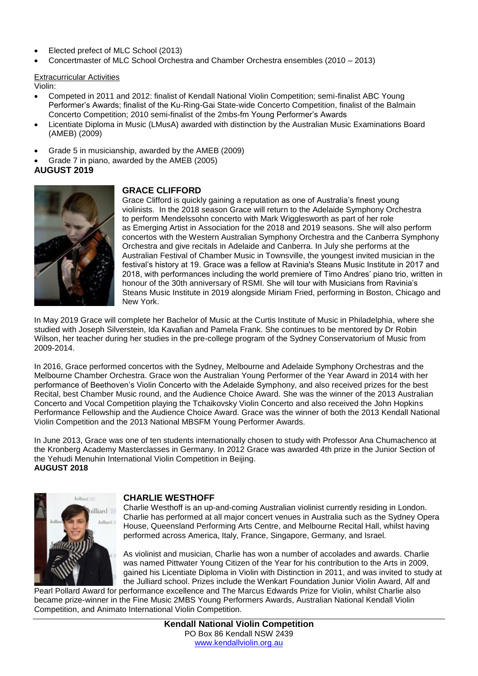- Elected prefect of MLC School (2013)
- Concertmaster of MLC School Orchestra and Chamber Orchestra ensembles (2010 2013)

### Extracurricular Activities

Violin:

- Competed in 2011 and 2012: finalist of Kendall National Violin Competition; semi-finalist ABC Young Performer's Awards; finalist of the Ku-Ring-Gai State-wide Concerto Competition, finalist of the Balmain Concerto Competition; 2010 semi-finalist of the 2mbs-fm Young Performer's Awards
- Licentiate Diploma in Music (LMusA) awarded with distinction by the Australian Music Examinations Board (AMEB) (2009)
- Grade 5 in musicianship, awarded by the AMEB (2009)
- Grade 7 in piano, awarded by the AMEB (2005)

## **AUGUST 2019**



## **GRACE CLIFFORD**

Grace Clifford is quickly gaining a reputation as one of Australia's finest young violinists. In the 2018 season Grace will return to the Adelaide Symphony Orchestra to perform Mendelssohn concerto with Mark Wigglesworth as part of her role as Emerging Artist in Association for the 2018 and 2019 seasons. She will also perform concertos with the Western Australian Symphony Orchestra and the Canberra Symphony Orchestra and give recitals in Adelaide and Canberra. In July she performs at the Australian Festival of Chamber Music in Townsville, the youngest invited musician in the festival's history at 19. Grace was a fellow at Ravinia's Steans Music Institute in 2017 and 2018, with performances including the world premiere of Timo Andres' piano trio, written in honour of the 30th anniversary of RSMI. She will tour with Musicians from Ravinia's Steans Music Institute in 2019 alongside Miriam Fried, performing in Boston, Chicago and New York.

In May 2019 Grace will complete her Bachelor of Music at the Curtis Institute of Music in Philadelphia, where she studied with Joseph Silverstein, Ida Kavafian and Pamela Frank. She continues to be mentored by Dr Robin Wilson, her teacher during her studies in the pre-college program of the Sydney Conservatorium of Music from 2009-2014.

In 2016, Grace performed concertos with the Sydney, Melbourne and Adelaide Symphony Orchestras and the Melbourne Chamber Orchestra. Grace won the Australian Young Performer of the Year Award in 2014 with her performance of Beethoven's Violin Concerto with the Adelaide Symphony, and also received prizes for the best Recital, best Chamber Music round, and the Audience Choice Award. She was the winner of the 2013 Australian Concerto and Vocal Competition playing the Tchaikovsky Violin Concerto and also received the John Hopkins Performance Fellowship and the Audience Choice Award. Grace was the winner of both the 2013 Kendall National Violin Competition and the 2013 National MBSFM Young Performer Awards.

In June 2013, Grace was one of ten students internationally chosen to study with Professor Ana Chumachenco at the Kronberg Academy Masterclasses in Germany. In 2012 Grace was awarded 4th prize in the Junior Section of the Yehudi Menuhin International Violin Competition in Beijing. **AUGUST 2018**



#### **CHARLIE WESTHOFF**

Charlie Westhoff is an up-and-coming Australian violinist currently residing in London. Charlie has performed at all major concert venues in Australia such as the Sydney Opera House, Queensland Performing Arts Centre, and Melbourne Recital Hall, whilst having performed across America, Italy, France, Singapore, Germany, and Israel.

As violinist and musician, Charlie has won a number of accolades and awards. Charlie was named Pittwater Young Citizen of the Year for his contribution to the Arts in 2009, gained his Licentiate Diploma in Violin with Distinction in 2011, and was invited to study at the Julliard school. Prizes include the Wenkart Foundation Junior Violin Award, Alf and

Pearl Pollard Award for performance excellence and The Marcus Edwards Prize for Violin, whilst Charlie also became prize-winner in the Fine Music 2MBS Young Performers Awards, Australian National Kendall Violin Competition, and Animato International Violin Competition.